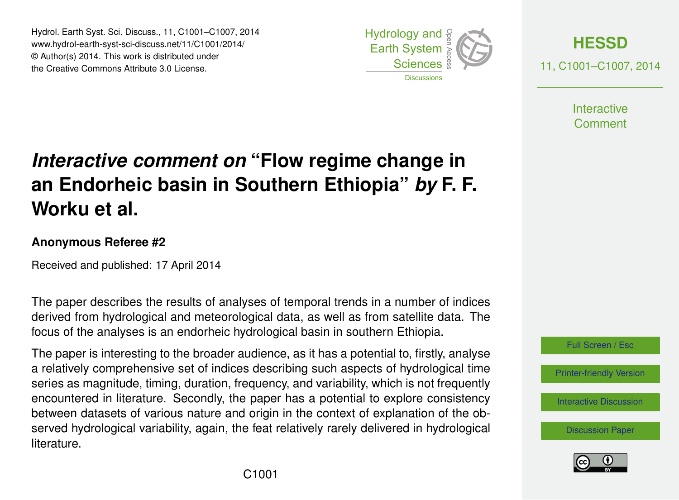Hydrol. Earth Syst. Sci. Discuss., 11, C1001–C1007, 2014 www.hydrol-earth-syst-sci-discuss.net/11/C1001/2014/ © Author(s) 2014. This work is distributed under the Creative Commons Attribute 3.0 License.





11, C1001–C1007, 2014

**Interactive** Comment

# *Interactive comment on* **"Flow regime change in an Endorheic basin in Southern Ethiopia"** *by* **F. F. Worku et al.**

#### **Anonymous Referee #2**

Received and published: 17 April 2014

The paper describes the results of analyses of temporal trends in a number of indices derived from hydrological and meteorological data, as well as from satellite data. The focus of the analyses is an endorheic hydrological basin in southern Ethiopia.

The paper is interesting to the broader audience, as it has a potential to, firstly, analyse a relatively comprehensive set of indices describing such aspects of hydrological time series as magnitude, timing, duration, frequency, and variability, which is not frequently encountered in literature. Secondly, the paper has a potential to explore consistency between datasets of various nature and origin in the context of explanation of the observed hydrological variability, again, the feat relatively rarely delivered in hydrological **literature** 



[Printer-friendly Version](http://www.hydrol-earth-syst-sci-discuss.net/11/C1001/2014/hessd-11-C1001-2014-print.pdf)

[Interactive Discussion](http://www.hydrol-earth-syst-sci-discuss.net/11/1301/2014/hessd-11-1301-2014-discussion.html)

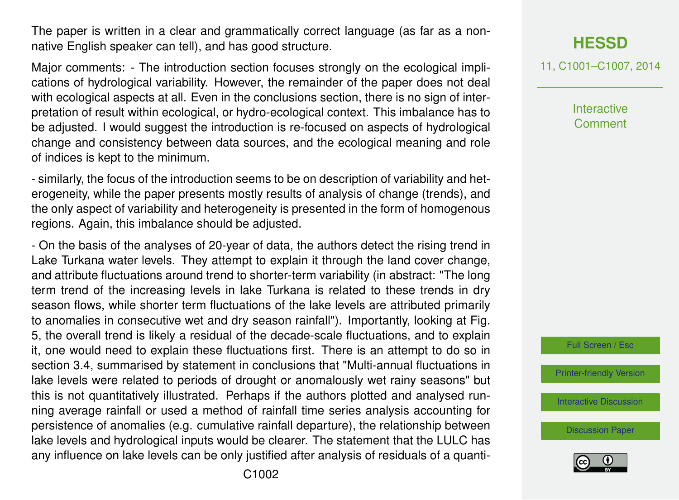The paper is written in a clear and grammatically correct language (as far as a nonnative English speaker can tell), and has good structure.

Major comments: - The introduction section focuses strongly on the ecological implications of hydrological variability. However, the remainder of the paper does not deal with ecological aspects at all. Even in the conclusions section, there is no sign of interpretation of result within ecological, or hydro-ecological context. This imbalance has to be adjusted. I would suggest the introduction is re-focused on aspects of hydrological change and consistency between data sources, and the ecological meaning and role of indices is kept to the minimum.

- similarly, the focus of the introduction seems to be on description of variability and heterogeneity, while the paper presents mostly results of analysis of change (trends), and the only aspect of variability and heterogeneity is presented in the form of homogenous regions. Again, this imbalance should be adjusted.

- On the basis of the analyses of 20-year of data, the authors detect the rising trend in Lake Turkana water levels. They attempt to explain it through the land cover change, and attribute fluctuations around trend to shorter-term variability (in abstract: "The long term trend of the increasing levels in lake Turkana is related to these trends in dry season flows, while shorter term fluctuations of the lake levels are attributed primarily to anomalies in consecutive wet and dry season rainfall"). Importantly, looking at Fig. 5, the overall trend is likely a residual of the decade-scale fluctuations, and to explain it, one would need to explain these fluctuations first. There is an attempt to do so in section 3.4, summarised by statement in conclusions that "Multi-annual fluctuations in lake levels were related to periods of drought or anomalously wet rainy seasons" but this is not quantitatively illustrated. Perhaps if the authors plotted and analysed running average rainfall or used a method of rainfall time series analysis accounting for persistence of anomalies (e.g. cumulative rainfall departure), the relationship between lake levels and hydrological inputs would be clearer. The statement that the LULC has any influence on lake levels can be only justified after analysis of residuals of a quanti**[HESSD](http://www.hydrol-earth-syst-sci-discuss.net)**

11, C1001–C1007, 2014

**Interactive Comment** 

Full Screen / Esc

[Printer-friendly Version](http://www.hydrol-earth-syst-sci-discuss.net/11/C1001/2014/hessd-11-C1001-2014-print.pdf)

[Interactive Discussion](http://www.hydrol-earth-syst-sci-discuss.net/11/1301/2014/hessd-11-1301-2014-discussion.html)

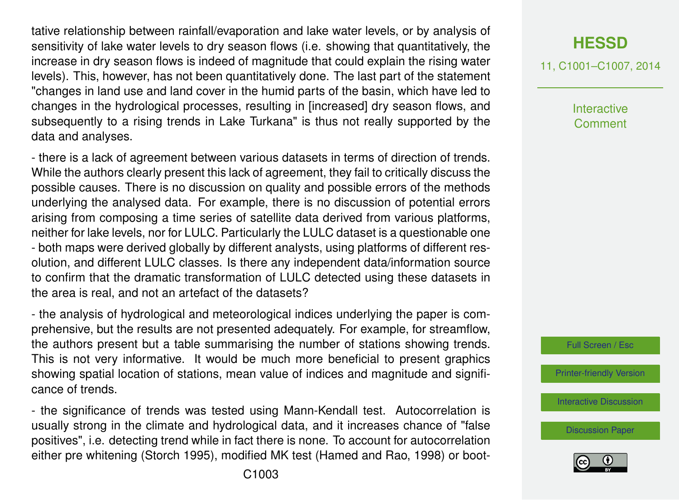tative relationship between rainfall/evaporation and lake water levels, or by analysis of sensitivity of lake water levels to dry season flows (i.e. showing that quantitatively, the increase in dry season flows is indeed of magnitude that could explain the rising water levels). This, however, has not been quantitatively done. The last part of the statement "changes in land use and land cover in the humid parts of the basin, which have led to changes in the hydrological processes, resulting in [increased] dry season flows, and subsequently to a rising trends in Lake Turkana" is thus not really supported by the data and analyses.

- there is a lack of agreement between various datasets in terms of direction of trends. While the authors clearly present this lack of agreement, they fail to critically discuss the possible causes. There is no discussion on quality and possible errors of the methods underlying the analysed data. For example, there is no discussion of potential errors arising from composing a time series of satellite data derived from various platforms, neither for lake levels, nor for LULC. Particularly the LULC dataset is a questionable one - both maps were derived globally by different analysts, using platforms of different resolution, and different LULC classes. Is there any independent data/information source to confirm that the dramatic transformation of LULC detected using these datasets in the area is real, and not an artefact of the datasets?

- the analysis of hydrological and meteorological indices underlying the paper is comprehensive, but the results are not presented adequately. For example, for streamflow, the authors present but a table summarising the number of stations showing trends. This is not very informative. It would be much more beneficial to present graphics showing spatial location of stations, mean value of indices and magnitude and significance of trends.

- the significance of trends was tested using Mann-Kendall test. Autocorrelation is usually strong in the climate and hydrological data, and it increases chance of "false positives", i.e. detecting trend while in fact there is none. To account for autocorrelation either pre whitening (Storch 1995), modified MK test (Hamed and Rao, 1998) or boot-

### **[HESSD](http://www.hydrol-earth-syst-sci-discuss.net)**

11, C1001–C1007, 2014

Interactive Comment



[Printer-friendly Version](http://www.hydrol-earth-syst-sci-discuss.net/11/C1001/2014/hessd-11-C1001-2014-print.pdf)

[Interactive Discussion](http://www.hydrol-earth-syst-sci-discuss.net/11/1301/2014/hessd-11-1301-2014-discussion.html)

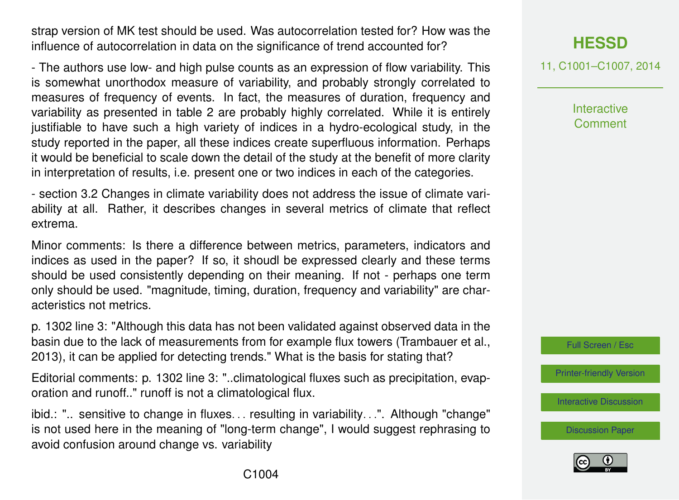strap version of MK test should be used. Was autocorrelation tested for? How was the influence of autocorrelation in data on the significance of trend accounted for?

- The authors use low- and high pulse counts as an expression of flow variability. This is somewhat unorthodox measure of variability, and probably strongly correlated to measures of frequency of events. In fact, the measures of duration, frequency and variability as presented in table 2 are probably highly correlated. While it is entirely justifiable to have such a high variety of indices in a hydro-ecological study, in the study reported in the paper, all these indices create superfluous information. Perhaps it would be beneficial to scale down the detail of the study at the benefit of more clarity in interpretation of results, i.e. present one or two indices in each of the categories.

- section 3.2 Changes in climate variability does not address the issue of climate variability at all. Rather, it describes changes in several metrics of climate that reflect extrema.

Minor comments: Is there a difference between metrics, parameters, indicators and indices as used in the paper? If so, it shoudl be expressed clearly and these terms should be used consistently depending on their meaning. If not - perhaps one term only should be used. "magnitude, timing, duration, frequency and variability" are characteristics not metrics.

p. 1302 line 3: "Although this data has not been validated against observed data in the basin due to the lack of measurements from for example flux towers (Trambauer et al., 2013), it can be applied for detecting trends." What is the basis for stating that?

Editorial comments: p. 1302 line 3: "..climatological fluxes such as precipitation, evaporation and runoff.." runoff is not a climatological flux.

ibid.: ".. sensitive to change in fluxes. . . resulting in variability. . .". Although "change" is not used here in the meaning of "long-term change", I would suggest rephrasing to avoid confusion around change vs. variability

# **[HESSD](http://www.hydrol-earth-syst-sci-discuss.net)**

11, C1001–C1007, 2014

**Interactive Comment** 



[Printer-friendly Version](http://www.hydrol-earth-syst-sci-discuss.net/11/C1001/2014/hessd-11-C1001-2014-print.pdf)

[Interactive Discussion](http://www.hydrol-earth-syst-sci-discuss.net/11/1301/2014/hessd-11-1301-2014-discussion.html)

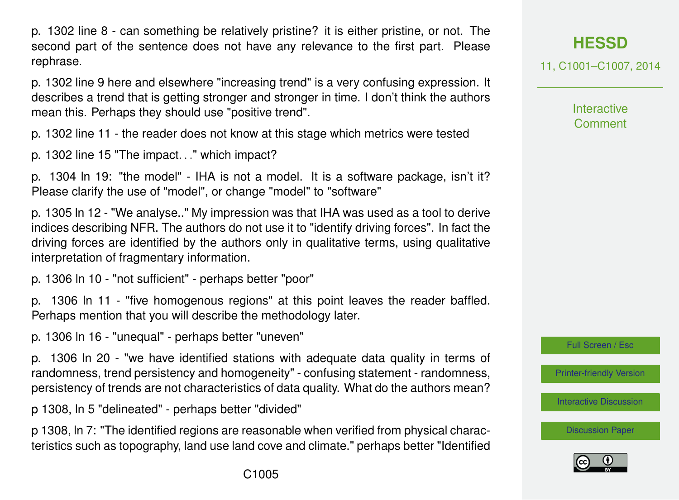p. 1302 line 8 - can something be relatively pristine? it is either pristine, or not. The second part of the sentence does not have any relevance to the first part. Please rephrase.

p. 1302 line 9 here and elsewhere "increasing trend" is a very confusing expression. It describes a trend that is getting stronger and stronger in time. I don't think the authors mean this. Perhaps they should use "positive trend".

p. 1302 line 11 - the reader does not know at this stage which metrics were tested

p. 1302 line 15 "The impact. . ." which impact?

p. 1304 ln 19: "the model" - IHA is not a model. It is a software package, isn't it? Please clarify the use of "model", or change "model" to "software"

p. 1305 ln 12 - "We analyse.." My impression was that IHA was used as a tool to derive indices describing NFR. The authors do not use it to "identify driving forces". In fact the driving forces are identified by the authors only in qualitative terms, using qualitative interpretation of fragmentary information.

p. 1306 ln 10 - "not sufficient" - perhaps better "poor"

p. 1306 ln 11 - "five homogenous regions" at this point leaves the reader baffled. Perhaps mention that you will describe the methodology later.

p. 1306 ln 16 - "unequal" - perhaps better "uneven"

p. 1306 ln 20 - "we have identified stations with adequate data quality in terms of randomness, trend persistency and homogeneity" - confusing statement - randomness, persistency of trends are not characteristics of data quality. What do the authors mean?

p 1308, ln 5 "delineated" - perhaps better "divided"

p 1308, ln 7: "The identified regions are reasonable when verified from physical characteristics such as topography, land use land cove and climate." perhaps better "Identified **[HESSD](http://www.hydrol-earth-syst-sci-discuss.net)**

11, C1001–C1007, 2014

**Interactive Comment** 

Full Screen / Esc

[Printer-friendly Version](http://www.hydrol-earth-syst-sci-discuss.net/11/C1001/2014/hessd-11-C1001-2014-print.pdf)

[Interactive Discussion](http://www.hydrol-earth-syst-sci-discuss.net/11/1301/2014/hessd-11-1301-2014-discussion.html)

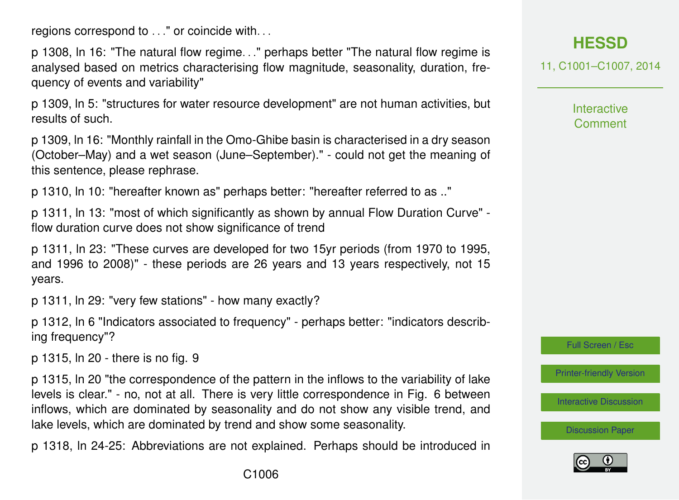regions correspond to . . ." or coincide with. . .

p 1308, ln 16: "The natural flow regime. . ." perhaps better "The natural flow regime is analysed based on metrics characterising flow magnitude, seasonality, duration, frequency of events and variability"

p 1309, ln 5: "structures for water resource development" are not human activities, but results of such.

p 1309, ln 16: "Monthly rainfall in the Omo-Ghibe basin is characterised in a dry season (October–May) and a wet season (June–September)." - could not get the meaning of this sentence, please rephrase.

p 1310, ln 10: "hereafter known as" perhaps better: "hereafter referred to as .."

p 1311, ln 13: "most of which significantly as shown by annual Flow Duration Curve" flow duration curve does not show significance of trend

p 1311, ln 23: "These curves are developed for two 15yr periods (from 1970 to 1995, and 1996 to 2008)" - these periods are 26 years and 13 years respectively, not 15 years.

p 1311, ln 29: "very few stations" - how many exactly?

p 1312, ln 6 "Indicators associated to frequency" - perhaps better: "indicators describing frequency"?

p 1315, ln 20 - there is no fig. 9

p 1315, ln 20 "the correspondence of the pattern in the inflows to the variability of lake levels is clear." - no, not at all. There is very little correspondence in Fig. 6 between inflows, which are dominated by seasonality and do not show any visible trend, and lake levels, which are dominated by trend and show some seasonality.

p 1318, ln 24-25: Abbreviations are not explained. Perhaps should be introduced in

11, C1001–C1007, 2014

**Interactive Comment** 

Full Screen / Esc

[Printer-friendly Version](http://www.hydrol-earth-syst-sci-discuss.net/11/C1001/2014/hessd-11-C1001-2014-print.pdf)

[Interactive Discussion](http://www.hydrol-earth-syst-sci-discuss.net/11/1301/2014/hessd-11-1301-2014-discussion.html)